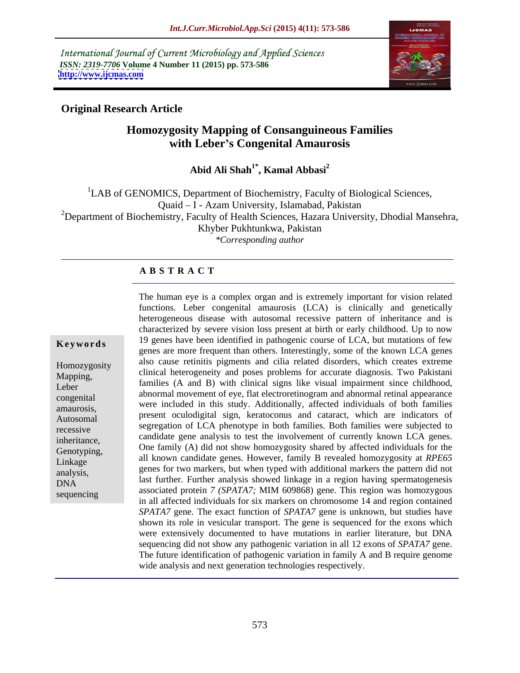International Journal of Current Microbiology and Applied Sciences *ISSN: 2319-7706* **Volume 4 Number 11 (2015) pp. 573-586 <http://www.ijcmas.com>**



### **Original Research Article**

## **Homozygosity Mapping of Consanguineous Families with Leber s Congenital Amaurosis**

**Abid Ali Shah1\* , Kamal Abbasi<sup>2</sup>**

<sup>1</sup>LAB of GENOMICS, Department of Biochemistry, Faculty of Biological Sciences, Quaid - I - Azam University, Islamabad, Pakistan <sup>2</sup>Department of Biochemistry, Faculty of Health Sciences, Hazara University, Dhodial Mansehra, Khyber Pukhtunkwa, Pakistan *\*Corresponding author*

### **A B S T R A C T**

sequencing

The human eye is a complex organ and is extremely important for vision related functions. Leber congenital amaurosis (LCA) is clinically and genetically heterogeneous disease with autosomal recessive pattern of inheritance and is characterized by severe vision loss present at birth or early childhood. Up to now 19 genes have been identified in pathogenic course of LCA, but mutations of few **Ke ywo rds** genes are more frequent than others. Interestingly, some of the known LCA genes also cause retinitis pigments and cilia related disorders, which creates extreme Homozygosity clinical heterogeneity and poses problems for accurate diagnosis. Two Pakistani Mapping, families (A and B) with clinical signs like visual impairment since childhood, Leber abnormal movement of eye, flat electroretinogram and abnormal retinal appearance congenital were included in this study. Additionally, affected individuals of both families amaurosis, present oculodigital sign, keratoconus and cataract, which are indicators of Autosomal segregation of LCA phenotype in both families. Both families were subjected to<br>recessive candidate gene analysis to test the involvement of currently known LCA genes. Genotyping, One family (A) did not show homozygosity shared by affected individuals for the Genotyping, all known candidate genes. However, family B revealed homozygosity at *RPE65*  Linkage genes for two markers, but when typed with additional markers the pattern did not analysis, genes for two markers, but when typed with additional markers the pattern did not<br> $\sum_{i=1}^{n}$  and a last further. Further analysis showed linkage in a region having spermatogenesis associated protein *7 (SPATA7;* MIM 609868) gene. This region was homozygous in all affected individuals for six markers on chromosome 14 and region contained *SPATA7* gene. The exact function of *SPATA7* gene is unknown, but studies have shown its role in vesicular transport. The gene is sequenced for the exons which were extensively documented to have mutations in earlier literature, but DNA sequencing did not show any pathogenic variation in all 12 exons of *SPATA7* gene. The future identification of pathogenic variation in family A and B require genome wide analysis and next generation technologies respectively.  $DMA$  ast further, Further analysis showed intrage in a region naving spermatogenesis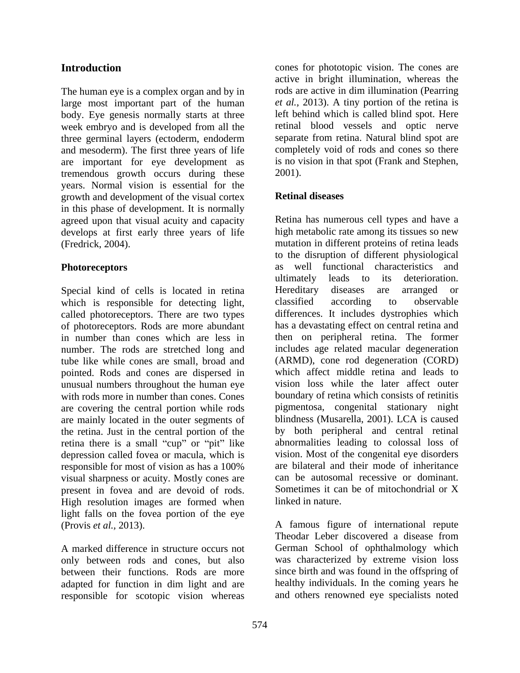The human eye is a complex organ and by in large most important part of the human body. Eye genesis normally starts at three week embryo and is developed from all the three germinal layers (ectoderm, endoderm and mesoderm). The first three years of life are important for eye development as tremendous growth occurs during these 2001). years. Normal vision is essential for the growth and development of the visual cortex **Retinal diseases** in this phase of development. It is normally agreed upon that visual acuity and capacity Retina has numerous cell types and have a develops at first early three years of life

Special kind of cells is located in retina Hereditary diseases are arranged or which is responsible for detecting light, classified according to observable called photoreceptors. There are two types of photoreceptors. Rods are more abundant in number than cones which are less in then on peripheral retina. The former number. The rods are stretched long and includes age related macular degeneration tube like while cones are small, broad and pointed. Rods and cones are dispersed in unusual numbers throughout the human eye with rods more in number than cones. Cones boundary of retina which consists of retinitis are covering the central portion while rods are mainly located in the outer segments of the retina. Just in the central portion of the retina there is a small "cup" or "pit" like depression called fovea or macula, which is responsible for most of vision as has a 100% are bilateral and their mode of inheritance visual sharpness or acuity. Mostly cones are present in fovea and are devoid of rods. Sometimes it can be of mitochondrial or X High resolution images are formed when linked in nature. light falls on the fovea portion of the eye (Provis *et al.,* 2013). A famous figure of international repute

only between rods and cones, but also adapted for function in dim light and are responsible for scotopic vision whereas

**Introduction** cones for phototopic vision. The cones are active in bright illumination, whereas the rods are active in dim illumination (Pearring *et al.,* 2013). A tiny portion of the retina is left behind which is called blind spot. Here retinal blood vessels and optic nerve separate from retina. Natural blind spot are completely void of rods and cones so there is no vision in that spot (Frank and Stephen, 2001).

### **Retinal diseases**

(Fredrick, 2004). mutation in different proteins of retina leads **Photoreceptors** as well functional characteristics and high metabolic rate among its tissues so new to the disruption of different physiological ultimately leads to its deterioration. Hereditary diseases are arranged or classified according to observable differences. It includes dystrophies which has a devastating effect on central retina and (ARMD), cone rod degeneration (CORD) which affect middle retina and leads to vision loss while the later affect outer pigmentosa, congenital stationary night blindness (Musarella, 2001). LCA is caused by both peripheral and central retinal abnormalities leading to colossal loss of vision. Most of the congenital eye disorders are bilateral and their mode of inheritance can be autosomal recessive or dominant. Sometimes it can be of mitochondrial or X linked in nature.

A marked difference in structure occurs not German School of ophthalmology which between their functions. Rods are more since birth and was found in the offspring of Theodar Leber discovered a disease from was characterized by extreme vision loss healthy individuals. In the coming years he and others renowned eye specialists noted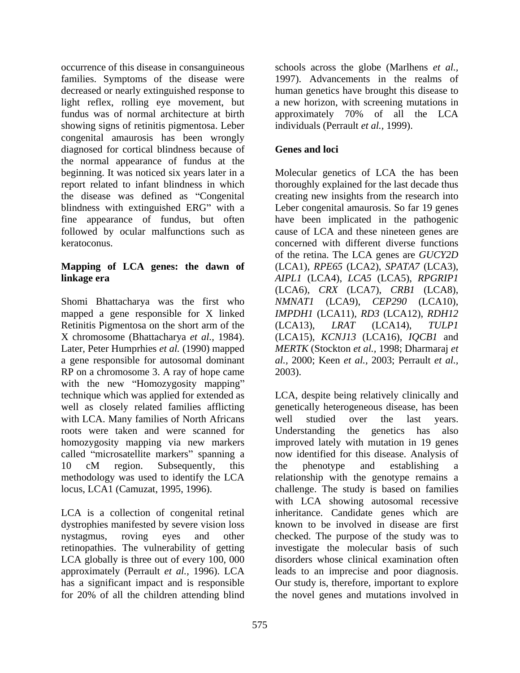occurrence of this disease in consanguineous schools across the globe (Marlhens *et al.,* families. Symptoms of the disease were 1997). Advancements in the realms of decreased or nearly extinguished response to light reflex, rolling eye movement, but a new horizon, with screening mutations in fundus was of normal architecture at birth approximately 70% of all the LCA showing signs of retinitis pigmentosa. Leber congenital amaurosis has been wrongly diagnosed for cortical blindness because of **Genes and loci** the normal appearance of fundus at the followed by ocular malfunctions such as

Shomi Bhattacharya was the first who *NMNAT1* (LCA9), *CEP290* (LCA10), mapped a gene responsible for X linked *IMPDH1* (LCA11), *RD3* (LCA12), *RDH12* Retinitis Pigmentosa on the short arm of the (LCA13), LRAT (LCA14), TULP1 X chromosome (Bhattacharya *et al.,* 1984). (LCA15), *KCNJ13* (LCA16), *IQCB1* and Later, Peter Humprhies *et al.* (1990) mapped *MERTK* (Stockton *et al.,* 1998; Dharmaraj *et*  a gene responsible for autosomal dominant *al.,* 2000; Keen *et al.,* 2003; Perrault *et al.,* RP on a chromosome 3. A ray of hope came 2003). with the new "Homozygosity mapping" with LCA. Many families of North Africans well studied over the last years. roots were taken and were scanned for Understanding the genetics has also methodology was used to identify the LCA

dystrophies manifested by severe vision loss retinopathies. The vulnerability of getting LCA globally is three out of every 100, 000 human genetics have brought this disease to approximately 70% of all the LCA individuals (Perrault *et al.,* 1999).

### **Genes and loci**

beginning. It was noticed six years later in a Molecular genetics of LCA the has been report related to infant blindness in which thoroughly explained for the last decade thus the disease was defined as "Congenital creating new insights from the research into blindness with extinguished ERG" with a Leber congenital amaurosis. So far 19 genes fine appearance of fundus, but often have been implicated in the pathogenic keratoconus. concerned with different diverse functions **Mapping of LCA genes: the dawn of** (LCA1), *RPE65* (LCA2), *SPATA7* (LCA3), **linkage era**  *AIPL1* (LCA4), *LCA5* (LCA5), *RPGRIP1*  cause of LCA and these nineteen genes are of the retina. The LCA genes are *GUCY2D* (LCA6), *CRX* (LCA7), *CRB1* (LCA8), (LCA13), *LRAT* (LCA14), *TULP1* 2003).

technique which was applied for extended as LCA, despite being relatively clinically and well as closely related families afflicting genetically heterogeneous disease, has been homozygosity mapping via new markers improved lately with mutation in 19 genes called "microsatellite markers" spanning a mow identified for this disease. Analysis of 10 cM region. Subsequently, this the phenotype and establishing a locus, LCA1 (Camuzat, 1995, 1996). challenge. The study is based on families LCA is a collection of congenital retinal inheritance. Candidate genes which are nystagmus, roving eyes and other checked. The purpose of the study was to approximately (Perrault *et al.,* 1996).LCA leads to an imprecise and poor diagnosis. has a significant impact and is responsible Our study is, therefore, important to explore for 20% of all the children attending blind the novel genes and mutations involved inwell studied over the last years. Understanding the genetics has also the phenotype and establishing a relationship with the genotype remains a with LCA showing autosomal recessive known to be involved in disease are first investigate the molecular basis of such disorders whose clinical examination often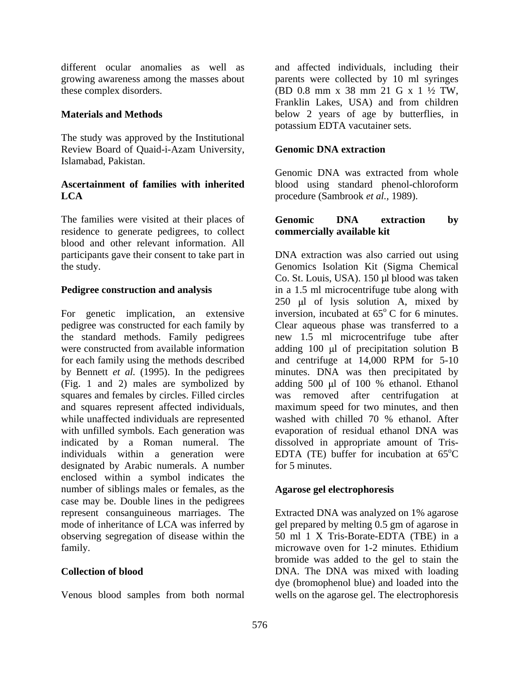these complex disorders. (BD  $0.8 \text{ mm} \times 38 \text{ mm} 21 \text{ G} \times 1 \frac{1}{2} \text{ TW}$ ,

The study was approved by the Institutional Review Board of Quaid-i-Azam University, Genomic DNA extraction Islamabad, Pakistan.

### **Ascertainment of families with inherited** blood using standard phenol-chloroform **LCA** procedure (Sambrook *et al.,* 1989).

The families were visited at their places of Genomic DNA extraction by residence to generate pedigrees, to collect blood and other relevant information. All

For genetic implication, an extensive inversion, incubated at  $65^{\circ}$ C for 6 minutes. pedigree was constructed for each family by the standard methods. Family pedigrees new 1.5 ml microcentrifuge tube after were constructed from available information adding 100 µl of precipitation solution B for each family using the methods described and centrifuge at 14,000 RPM for 5-10 by Bennett *et al.* (1995). In the pedigrees minutes. DNA was then precipitated by (Fig. 1 and 2) males are symbolized by squares and females by circles. Filled circles was removed after centrifugation at and squares represent affected individuals, maximum speed for two minutes, and then while unaffected individuals are represented<br>washed with chilled 70 % ethanol. After<br>with unfilled symbols. Each generation was<br>evaporation of residual ethanol DNA was with unfilled symbols. Each generation was evaporation of residual ethanol DNA was indicated by a Roman numeral. The dissolved in appropriate amount of Tris individuals within a generation were designated by Arabic numerals. A number for 5 minutes. enclosed within a symbol indicates the number of siblings males or females, as the case may be. Double lines in the pedigrees represent consanguineous marriages. The mode of inheritance of LCA was inferred by gel prepared by melting 0.5 gm of agarose in observing segregation of disease within the family. microwave oven for 1-2 minutes. Ethidium

different ocular anomalies as well as and affected individuals, including their growing awareness among the masses about parents were collected by 10 ml syringes **Materials and Methods**  below 2 years of age by butterflies, in (BD 0.8 mm x 38 mm 21 G x 1 ½ TW, Franklin Lakes, USA) and from children potassium EDTA vacutainer sets.

### **Genomic DNA extraction**

Genomic DNA was extracted from whole

### **Genomic DNA extraction by commercially available kit**

participants gave their consent to take part in DNA extraction was also carried out using the study. Genomics Isolation Kit (Sigma Chemical **Pedigree construction and analysis** in a 1.5 ml microcentrifuge tube along with Co. St. Louis, USA). 150 µl blood was taken  $250$  µl of lysis solution A, mixed by  $\rm ^{o}$  C for 6 minutes. Clear aqueous phase was transferred to a and centrifuge at 14,000 RPM for 5-10 adding 500 µl of 100 % ethanol. Ethanol was removed after centrifugation washed with chilled 70 % ethanol. After EDTA (TE) buffer for incubation at  $65^{\circ}$ C <sup>o</sup>C for 5 minutes.

### **Agarose gel electrophoresis**

**Collection of blood** DNA. The DNA was mixed with loading Venous blood samples from both normal wells on the agarose gel. The electrophoresis Extracted DNA was analyzed on 1% agarose 50 ml 1 X Tris-Borate-EDTA (TBE) in a microwave oven for 1-2 minutes. Ethidium bromide was added to the gel to stain the dye (bromophenol blue) and loaded into the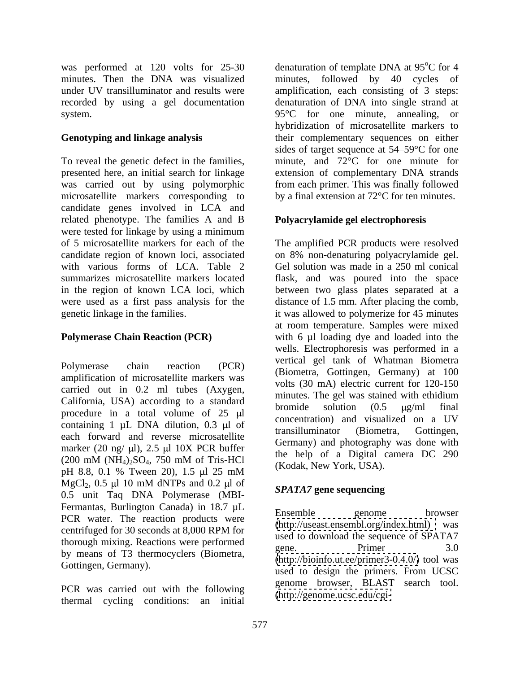was performed at 120 volts for 25-30

To reveal the genetic defect in the families, presented here, an initial search for linkage was carried out by using polymorphic from each primer. This was finally followed microsatellite markers corresponding to by a final extension at 72<sup>o</sup>C for ten minutes. candidate genes involved in LCA and related phenotype. The families A and B were tested for linkage by using a minimum

amplification of microsatellite markers was carried out in 0.2 ml tubes (Axygen, California, USA) according to a standard<br>bromide solution  $(0.5 \text{ µg/ml} \text{ final})$ procedure in a total volume of  $25 \text{ }\mu\text{l}$ containing  $1 \mu L$  DNA dilution,  $0.3 \mu L$  of transilluminator (Biometra. Gottingen. each forward and reverse microsatellite marker (20 ng/ $\mu$ l), 2.5  $\mu$ l 10X PCR buffer pH 8.8, 0.1 % Tween 20), 1.5  $\mu$ l 25 mM (Kodak, New York, CSA).  $MgCl_2$ , 0.5 µ 10 mM dNTPs and 0.2 µ of  $\mathbb{R}P\text{AT17}$  gang sequencing 0.5 unit Taq DNA Polymerase (MBI- Fermantas, Burlington Canada) in 18.7 µL<br>
Ensemble genome browser PCR water. The reaction products were the estimate end of the example of the example of the example of the example of the example of the example of the example of the example of the example of the example of the example of centrifuged for 30 seconds at 8,000 RPM for thorough mixing. Reactions were performed<br>gene. Primer 3.0 by means of T3 thermocyclers (Biometra,

PCR was carried out with the following thermal cycling conditions: an initial

minutes. Then the DNA was visualized minutes, followed by 40 cycles of under UV transilluminator and results were amplification, each consisting of 3 steps: recorded by using a gel documentation denaturation of DNA into single strand at system. 95<sup>o</sup>C for one minute, annealing, or **Genotyping and linkage analysis** their complementary sequences on either denaturation of template DNA at 95<sup>o</sup>C for 4 oC for 4 hybridization of microsatellite markers to sides of target sequence at  $54-59^{\circ}$ C for one minute, and 72°C for one minute for extension of complementary DNA strands

### **Polyacrylamide gel electrophoresis**

of 5 microsatellite markers for each of the The amplified PCR products were resolved candidate region of known loci, associated on 8% non-denaturing polyacrylamide gel. with various forms of LCA. Table 2 Gel solution was made in a 250 ml conical summarizes microsatellite markers located flask, and was poured into the space in the region of known LCA loci, which between two glass plates separated at a were used as a first pass analysis for the distance of 1.5 mm. After placing the comb, genetic linkage in the families. it was allowed to polymerize for 45 minutes **Polymerase Chain Reaction (PCR)** with 6 µl loading dye and loaded into the Polymerase chain reaction (PCR) vertical general communication communication  $(200 \text{ mM } (NH_4)_2\text{SO}_4, 750 \text{ mM of Tris-HCl}$  (Kodek New York USA) at room temperature. Samples were mixed wells. Electrophoresis was performed in a vertical gel tank of Whatman Biometra (Biometra, Gottingen, Germany) at 100 volts (30 mA) electric current for 120-150 minutes. The gel was stained with ethidium bromide solution  $(0.5 \text{ }\mu\text{g/ml} \text{ }$  final concentration) and visualized on a UV transilluminator (Biometra, Gottingen, Germany) and photography was done with the help of a Digital camera DC 290 (Kodak, New York, USA).

### *SPATA7* **gene sequencing**

Gottingen, Germany).<br>
used to design the primers. From UCSC Ensemble genome browser  $(http://useast.ensemble.org/index.html)$ used to download the sequence of SPATA7 gene. Primer 3.0 [\(http://bioinfo.ut.ee/primer3-0.4.0/\)](http://bioinfo.ut.ee/primer3-0.4.0/) tool was used to design the primers. From UCSC genome browser, BLAST search tool. [\(http://genome.ucsc.edu/cgi-](http://genome.ucsc.edu/cgi-)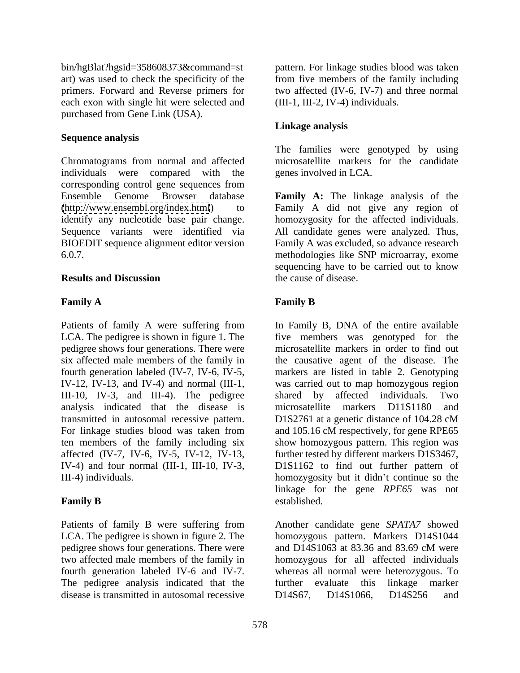art) was used to check the specificity of the primers. Forward and Reverse primers for each exon with single hit were selected and purchased from Gene Link (USA).

### **Sequence analysis**

Chromatograms from normal and affected microsatellite markers for the candidate individuals were compared with the corresponding control gene sequences from identify any nucleotide base pair change.

Patients of family A were suffering from IV-12, IV-13, and IV-4) and normal (III-1, III-10, IV-3, and III-4). The pedigree transmitted in autosomal recessive pattern. D1S2761 at a genetic distance of 104.28 cM

pedigree shows four generations. There were and D14S1063 at 83.36 and 83.69 cM were The pedigree analysis indicated that the further evaluate this linkage marker disease is transmitted in autosomal recessive <br> D14S67, D14S1066, D14S256 and

bin/hgBlat?hgsid=358608373&command=st pattern. For linkage studies blood was taken from five members of the family including two affected (IV-6, IV-7) and three normal (III-1, III-2, IV-4) individuals.

### **Linkage analysis**

The families were genotyped by using genes involved in LCA.

Ensemble Genome Browser database **Family A:** The linkage analysis of the [\(http://www.ensembl.org/index.html](http://www.ensembl.org/index.html)) to Family A did not give any region of Sequence variants were identified via All candidate genes were analyzed. Thus, BIOEDIT sequence alignment editor version Family A was excluded, so advance research 6.0.7. methodologies like SNP microarray, exome **Results and Discussion** the cause of disease. homozygosity for the affected individuals. sequencing have to be carried out to know the cause of disease.

### **Family A Family B**

LCA. The pedigree is shown in figure 1. The five members was genotyped for the pedigree shows four generations. There were microsatellite markers in order to find out six affected male members of the family in the causative agent of the disease. The fourth generation labeled (IV-7, IV-6, IV-5, markers are listed in table 2. Genotyping analysis indicated that the disease is microsatellite markers D11S1180 and For linkage studies blood was taken from and 105.16 cM respectively, for gene RPE65 ten members of the family including six show homozygous pattern. This region was affected (IV-7, IV-6, IV-5, IV-12, IV-13, further tested by different markers D1S3467, IV-4) and four normal (III-1, III-10, IV-3, D1S1162 to find out further pattern of III-4) individuals. The example of the homozygosity but it didn't continue so the **Family B** established. In Family B, DNA of the entire available was carried out to map homozygous region shared by affected individuals. Two D1S2761 at a genetic distance of 104.28 cM linkage for the gene *RPE65* was not established.

Patients of family B were suffering from Another candidate gene *SPATA7* showed LCA. The pedigree is shown in figure 2. The homozygous pattern. Markers D14S1044 two affected male members of the family in homozygous for all affected individuals fourth generation labeled IV-6 and IV-7. whereas all normal were heterozygous. To and D14S1063 at 83.36 and 83.69 cM were further evaluate this linkage marker D14S67, D14S1066, D14S256 and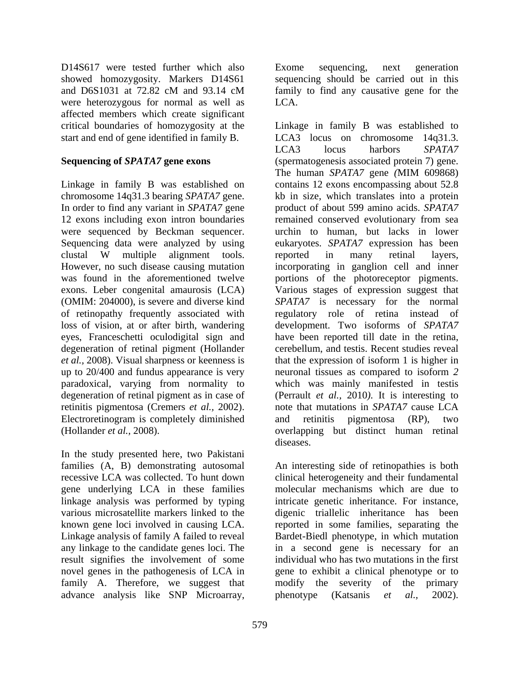D14S617 were tested further which also Exome sequencing, next generation showed homozygosity. Markers D14S61 were heterozygous for normal as well as LCA. affected members which create significant

chromosome 14q31.3 bearing *SPATA7* gene. 12 exons including exon intron boundaries were sequenced by Beckman sequencer. loss of vision, at or after birth, wandering degeneration of retinal pigment (Hollander up to 20/400 and fundus appearance is very neuronal tissues as compared to isoform 2 degeneration of retinal pigment as in case of Electroretinogram is completely diminished and retinitis pigmentosa (RP), two

In the study presented here, two Pakistani gene underlying LCA in these families linkage analysis was performed by typing result signifies the involvement of some family A. Therefore, we suggest that

and D6S1031 at 72.82 cM and 93.14 cM sequencing should be carried out in this family to find any causative gene for the LCA.

critical boundaries of homozygosity at the Linkage in family B was established to start and end of gene identified in family B. LCA3 locus on chromosome 14q31.3. **Sequencing of** *SPATA7* **gene exons** (spermatogenesis associated protein 7) gene. Linkage in family B was established on contains 12 exons encompassing about 52.8 In order to find any variant in *SPATA7* gene product of about 599 amino acids. *SPATA7*  Sequencing data were analyzed by using eukaryotes. *SPATA7* expression has been clustal W multiple alignment tools. However, no such disease causing mutation incorporating in ganglion cell and inner was found in the aforementioned twelve portions of the photoreceptor pigments. exons. Leber congenital amaurosis (LCA) Various stages of expression suggest that (OMIM: 204000), is severe and diverse kind *SPATA7* is necessary for the normal of retinopathy frequently associated with regulatory role of retina instead of eyes, Franceschetti oculodigital sign and have been reported till date in the retina, *et al.,* 2008). Visual sharpness or keenness is that the expression of isoform 1 is higher in paradoxical, varying from normality to which was mainly manifested in testis retinitis pigmentosa (Cremers *et al.,* 2002). note that mutations in *SPATA7* cause LCA (Hollander *et al.,* 2008). overlapping but distinct human retinal D148677 were issued in the whole and in the same sequencing, next generation in this same of the same secure and the same secure and the same of the same of the same secure and the same sequencing is the same set and the LCA3 locus harbors *SPATA7*  The human *SPATA7* gene *(*MIM 609868) kb in size, which translates into a protein remained conserved evolutionary from sea urchin to human, but lacks in lower reported in many retinal layers, development. Two isoforms of *SPATA7*  cerebellum, and testis. Recent studies reveal neuronal tissues as compared to isoform *2* (Perrault *et al.,* 2010*).* It is interesting to and retinitis pigmentosa (RP), two diseases.

families (A, B) demonstrating autosomal An interesting side of retinopathies is both recessive LCA was collected. To hunt down clinical heterogeneity and their fundamental various microsatellite markers linked to the digenic triallelic inheritance has been known gene loci involved in causing LCA. reported in some families, separating the Linkage analysis of family A failed to reveal Bardet-Biedl phenotype, in which mutation any linkage to the candidate genes loci. The in a second gene is necessary for an novel genes in the pathogenesis of LCA in gene to exhibit a clinical phenotype or to molecular mechanisms which are due to intricate genetic inheritance. For instance, individual who has two mutations in the first modify the severity of the primary phenotype (Katsanis *et al.,* 2002).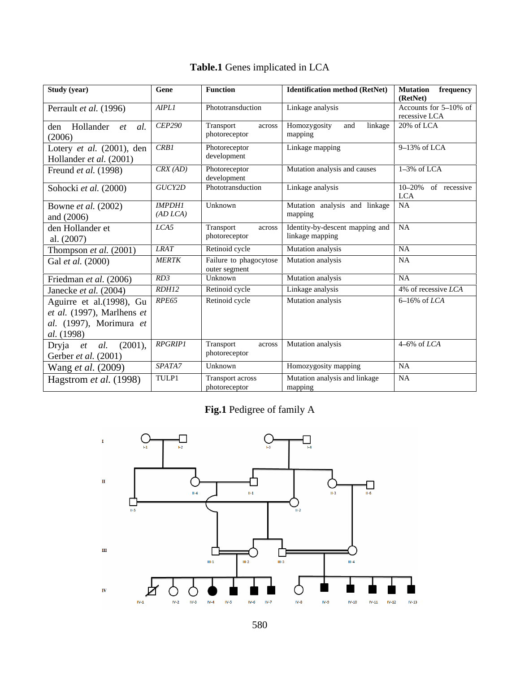| Study (year)                               | Gene          | <b>Function</b>                   | <b>Identification method (RetNet)</b> Mutation frequency |                                   |
|--------------------------------------------|---------------|-----------------------------------|----------------------------------------------------------|-----------------------------------|
| Perrault et al. (1996)                     | <b>AIPLI</b>  | Phototransduction                 | Linkage analysis                                         | (RetNet)<br>Accounts for 5-10% of |
|                                            |               |                                   |                                                          | recessive LCA                     |
| den Hollander et al. CEP290                |               | Transport                         | and linkage   20% of LCA<br>across Homozygosity          |                                   |
| (2006)                                     |               | photoreceptor                     | napping                                                  |                                   |
| Lotery et al. (2001), den $\sqrt{CRBI}$    |               | Photoreceptor                     | Linkage mapping                                          | $9-13%$ of LCA                    |
| Hollander et al. (2001)                    |               | development                       |                                                          |                                   |
| Freund et al. (1998)                       | CRX(AD)       | Photoreceptor                     | Mutation analysis and causes                             | $1-3%$ of LCA                     |
|                                            |               | development                       |                                                          |                                   |
| Sohocki et al. (2000)                      | GUCY2D        | Phototransduction                 | Linkage analysis                                         | 10-20% of recessive               |
| Bowne et al. (2002)                        | <b>IMPDH1</b> | <b>Unknown</b>                    | Mutation analysis and linkage NA                         |                                   |
| and $(2006)$                               | (AD LCA)      |                                   | mapping                                                  |                                   |
| den Hollander et                           | LCA5          | Transport                         | across   Identity-by-descent mapping and   NA            |                                   |
| al. (2007)                                 |               | photoreceptor                     | linkage mapping                                          |                                   |
| Thompson et al. (2001)                     | <b>LRAT</b>   | Retinoid cycle                    | Mutation analysis                                        | NA                                |
| Gal et al. (2000)                          | <b>MERTK</b>  | Failure to phagocytose            | Mutation analysis                                        | <b>NA</b>                         |
|                                            |               | outer segment                     |                                                          |                                   |
| Friedman et al. (2006)                     | RD3           | Unknown                           | Mutation analysis                                        | NA.                               |
| Janecke et al. (2004)                      | RDH12         | Retinoid cycle                    | Linkage analysis                                         | $4\%$ of recessive <i>LCA</i>     |
| Aguirre et al.(1998), Gu   $RPE65$         |               | Retinoid cycle                    | Mutation analysis                                        | $6-16\%$ of <i>LCA</i>            |
| et al. (1997), Marlhens $\epsilon$         |               |                                   |                                                          |                                   |
| al. (1997), Morimura et                    |               |                                   |                                                          |                                   |
| <i>al.</i> (1998)                          |               |                                   |                                                          |                                   |
| Dryja et al. $\overline{(2001)}$ , RPGRIPI |               | Transport<br>photoreceptor        | across Mutation analysis                                 | $4-6\%$ of <i>LCA</i>             |
| Gerber et al. (2001)                       | SPATA7        | Unknown                           | Homozygosity mapping                                     | NA.                               |
| Wang <i>et al.</i> (2009)                  |               |                                   |                                                          |                                   |
| Hagstrom et al. (1998)                     | TULP1         | Transport across<br>photoreceptor | Mutation analysis and linkage<br>manning                 | - NA                              |

# **Table.1** Genes implicated in LCA

**Fig.1** Pedigree of family A

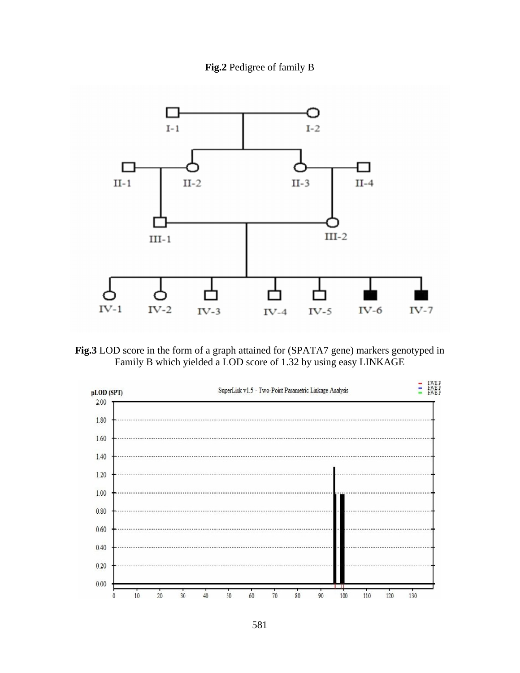



**Fig.3** LOD score in the form of a graph attained for (SPATA7 gene) markers genotyped in Family B which yielded a LOD score of 1.32 by using easy LINKAGE

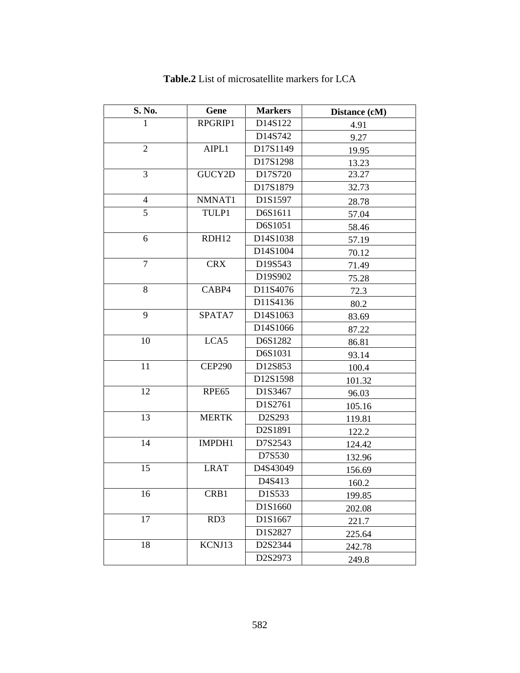| <b>S. No.</b>   | Gene          | <b>Markers</b> | Distance (cM) |
|-----------------|---------------|----------------|---------------|
| - 1             | RPGRIP1       | D14S122        | 4.91          |
|                 |               | D14S742        | 9.27          |
| 2               | AIPL1         | D17S1149       | 19.95         |
|                 |               | D17S1298       | 13.23         |
| $\overline{3}$  | GUCY2D        | D17S720        | 23.27         |
|                 |               | D17S1879       | 32.73         |
| $\overline{4}$  | NMNAT1        | D1S1597        | 28.78         |
| 5 <sup>5</sup>  | TULP1         | D6S1611        | 57.04         |
|                 |               | D6S1051        | 58.46         |
| 6               | RDH12         | D14S1038       | 57.19         |
|                 |               | D14S1004       | 70.12         |
| $7\overline{ }$ | CRX           | D19S543        | 71.49         |
|                 |               | D19S902        | 75.28         |
| 8               | CABP4         | D11S4076       | 72.3          |
|                 |               | D11S4136       | 80.2          |
| 9               | SPATA7        | D14S1063       | 83.69         |
|                 |               | D14S1066       | 87.22         |
| 10              | LCA5          | D6S1282        | 86.81         |
|                 |               | D6S1031        | 93.14         |
| 11              | <b>CEP290</b> | D12S853        | 100.4         |
|                 |               | D12S1598       | 101.32        |
| 12              | RPE65         | D1S3467        | 96.03         |
|                 |               | D1S2761        | 105.16        |
| 13              | <b>MERTK</b>  | D2S293         | 119.81        |
|                 |               | D2S1891        | 122.2         |
| 14              | IMPDH1        | D7S2543        | 124.42        |
|                 |               | D7S530         | 132.96        |
| 15              | LRAT          | D4S43049       | 156.69        |
|                 |               | D4S413         | 160.2         |
| 16              | CRB1          | D1S533         | 199.85        |
|                 |               | D1S1660        | 202.08        |
| 17              | RD3           | D1S1667        | 221.7         |
|                 |               | D1S2827        | 225.64        |
| 18              | KCNJ13        | D2S2344        | 242.78        |
|                 |               | D2S2973        | 249.8         |

**Table.2** List of microsatellite markers for LCA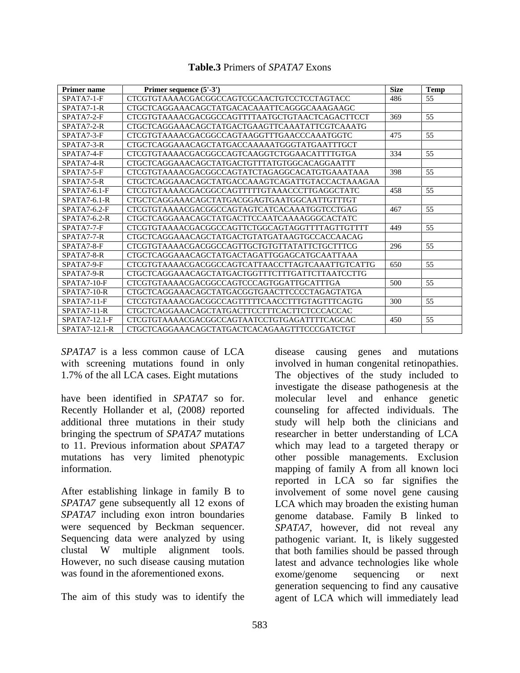### **Table.3** Primers of *SPATA7* Exons

| <b>Primer name</b> | Primer sequence $(5'-3')$                        | <b>Size</b> | Temp |
|--------------------|--------------------------------------------------|-------------|------|
| SPATA7-1-F         | CTCGTGTAAAACGACGGCCAGTCGCAACTGTCCTCCTAGTACC      |             | 55   |
| SPATA7-1-R         | CTGCTCAGGAAACAGCTATGACACAAATTCAGGGCAAAGAAGC      |             |      |
| SPATA7-2-F         | CTCGTGTAAAACGACGGCCAGTTTTAATGCTGTAACTCAGACTTCCT  | 369         |      |
| SPATA7-2-R         | CTGCTCAGGAAACAGCTATGACTGAAGTTCAAATATTCGTCAAATG   |             |      |
| SPATA7-3-F         | CTCGTGTAAAACGACGGCCAGTAAGGTTTGAACCCAAATGGTC      | 475         | -55  |
| SPATA7-3-R         | CTGCTCAGGAAACAGCTATGACCAAAAATGGGTATGAATTTGCT     |             |      |
| SPATA7-4-F         | CTCGTGTAAAACGACGGCCAGTCAAGGTCTGGAACATTTTGTGA     | 334         | 55   |
| SPATA7-4-R         | CTGCTCAGGAAACAGCTATGACTGTTTATGTGGCACAGGAATTT     |             |      |
| SPATA7-5-F         | CTCGTGTAAAACGACGGCCAGTATCTAGAGGCACATGTGAAATAAA   | 398         | 55.  |
| SPATA7-5-R         | CTGCTCAGGAAACAGCTATGACCAAAGTCAGATTGTACCACTAAAGAA |             |      |
| $SPATA7-6.1-F$     | CTCGTGTAAAACGACGGCCAGTTTTTGTAAACCCTTGAGGCTATC    | 458.        | 55   |
| $SPATA7-6.1-R$     |                                                  |             |      |
| $SPATA7-6.2-F$     | CTCGTGTAAAACGACGGCCAGTAGTCATCACAAATGGTCCTGAG     | 467         | 55   |
| SPATA7-6.2-R       | CTGCTCAGGAAACAGCTATGACTTCCAATCAAAAGGGCACTATC     |             |      |
| SPATA7-7-F         | CTCGTGTAAAACGACGGCCAGTTCTGGCAGTAGGTTTTAGTTGTTTT  | 449         | -55  |
| SPATA7-7-R         | CTGCTCAGGAAACAGCTATGACTGTATGATAAGTGCCACCAACAG    |             |      |
| SPATA7-8-F         | CTCGTGTAAAACGACGGCCAGTTGCTGTGTTATATTCTGCTTTCG    | 296         | -55  |
| SPATA7-8-R         | CTGCTCAGGAAACAGCTATGACTAGATTGGAGCATGCAATTAAA     |             |      |
| SPATA7-9-F         | CTCGTGTAAAACGACGGCCAGTCATTAACCTTAGTCAAATTGTCATTG | l 650       |      |
| SPATA7-9-R         | CTGCTCAGGAAACAGCTATGACTGGTTTCTTTGATTCTTAATCCTTG  |             |      |
| $SPATA7-10-I$      | CTCGTGTAAAACGACGGCCAGTCCCAGTGGATTGCATTTGA        | 500         |      |
| SPATA7-10-R        | CTGCTCAGGAAACAGCTATGACGGTGAACTTCCCCTAGAGTATGA    |             |      |
| $SPATA7-11-$       | CTCGTGTAAAACGACGGCCAGTTTTTCAACCTTTGTAGTTTCAGTG   | 300         | 55   |
| SPATA7-11-R        | CTGCTCAGGAAACAGCTATGACTTCCTTTCACTTCTCCCACCAC     |             |      |
| $SPATA7-12.1-F$    | CTCGTGTAAAACGACGGCCAGTAATCCTGTGAGATTTTCAGCAC     | 450         | 55   |
| $SPATA7-12.1-R$    | CTGCTCAGGAAACAGCTATGACTCACAGAAGTTTCCCGATCTGT     |             |      |

mutations has very limited phenotypic

*SPATA7* is a less common cause of LCA disease causing genes and mutations with screening mutations found in only involved in human congenital retinopathies. 1.7% of the all LCA cases. Eight mutations The objectives of the study included to have been identified in *SPATA7* so for. molecular level and enhance genetic Recently Hollander et al, (2008*)* reported counseling for affected individuals. The additional three mutations in their study study will help both the clinicians and bringing the spectrum of *SPATA7* mutations researcher in better understanding of LCA to 11. Previous information about *SPATA7* which may lead to a targeted therapy or information. mapping of family A from all known loci After establishing linkage in family B to involvement of some novel gene causing *SPATA7* gene subsequently all 12 exons of LCA which may broaden the existing human *SPATA7* including exon intron boundaries genome database. Family B linked to were sequenced by Beckman sequencer. *SPATA7*, however, did not reveal any Sequencing data were analyzed by using pathogenic variant. It, is likely suggested clustal W multiple alignment tools. that both families should be passed through However, no such disease causing mutation latest and advance technologies like whole was found in the aforementioned exons. exome/genome sequencing or next The aim of this study was to identify the agent of LCA which will immediately leadinvestigate the disease pathogenesis at the other possible managements. Exclusion reported in LCA so far signifies the that both families should be passed through exome/genome sequencing or next generation sequencing to find any causative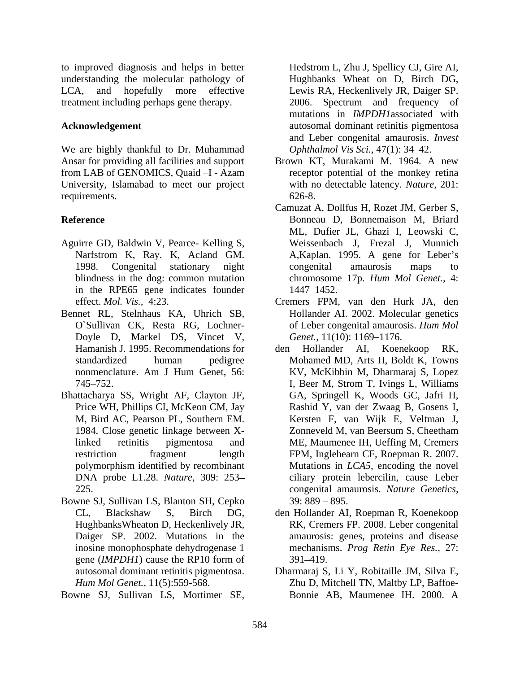to improved diagnosis and helps in better Hedstrom L, Zhu J, Spellicy CJ, Gire AI, understanding the molecular pathology of Hughbanks Wheat on D, Birch DG, LCA, and hopefully more effective Lewis RA, Heckenlively JR, Daiger SP. treatment including perhaps gene therapy. 2006. Spectrum and frequency of

We are highly thankful to Dr. Muhammad from LAB of GENOMICS, Quaid -I - Azam University, Islamabad to meet our project requirements. 626-8.

- Aguirre GD, Baldwin V, Pearce- Kelling S, in the RPE65 gene indicates founder
- Doyle D, Markel DS, Vincet V, nonmenclature. Am J Hum Genet, 56:
- Bhattacharya SS, Wright AF, Clayton JF, polymorphism identified by recombinant DNA probe L1.28. *Nature,* 309: 253
- Bowne SJ, Sullivan LS, Blanton SH, Cepko gene (*IMPDH1*) cause the RP10 form of
- 

**Acknowledgement** autosomal dominant retinitis pigmentosa mutations in *IMPDH1*associated with and Leber congenital amaurosis.*Invest Ophthalmol Vis Sci., 47(1): 34-42.* 

- Ansar for providing all facilities and support Brown KT, Murakami M. 1964. A new receptor potential of the monkey retina with no detectable latency. *Nature,* 201: 626-8.
- **Reference** Bonneau D, Bonnemaison M, Briard Narfstrom K, Ray. K, Acland GM. A,Kaplan. 1995. A gene for Leber's 1998. Congenital stationary night blindness in the dog: common mutation chromosome 17p. *Hum Mol Genet.,* 4: Camuzat A, Dollfus H, Rozet JM, Gerber S, ML, Dufier JL, Ghazi I, Leowski C, Weissenbach J, Frezal J, Munnich congenital amaurosis maps to 1447–1452.
- effect. *Mol. Vis.,* 4:23. Cremers FPM, van den Hurk JA, den Bennet RL, Stelnhaus KA, Uhrich SB, Hollander AI. 2002. Molecular genetics O`Sullivan CK, Resta RG, Lochner- of Leber congenital amaurosis. *Hum Mol* Genet., 11(10): 1169-1176.
- Hamanish J. 1995. Recommendations for den Hollander AI, Koenekoop RK, standardized human pedigree Mohamed MD, Arts H, Boldt K, Towns 745 752. I, Beer M, Strom T, Ivings L, Williams Price WH, Phillips CI, McKeon CM, Jay Rashid Y, van der Zwaag B, Gosens I, M, Bird AC, Pearson PL, Southern EM. Kersten F, van Wijk E, Veltman J, 1984. Close genetic linkage between Xlinked retinitis pigmentosa and ME, Maumenee IH, Ueffing M, Cremers restriction fragment length FPM, Inglehearn CF, Roepman R. 2007. 225. congenital amaurosis. *Nature Genetics,* is enter the state of the state of the state of the state of the state of the state of the state of the state of the state of the state of the state of the state of the state of the state of the state of the state of the s den Hollander AI, Koenekoop RK, KV, McKibbin M, Dharmaraj S, Lopez GA, Springell K, Woods GC, Jafri H, Zonneveld M, van Beersum S, Cheetham Mutations in *LCA5*, encoding the novel ciliary protein lebercilin, cause Leber  $39: 889 - 895.$ 
	- CL, Blackshaw S, Birch DG, den Hollander AI, Roepman R, Koenekoop HughbanksWheaton D, Heckenlively JR, RK, Cremers FP. 2008. Leber congenital Daiger SP. 2002. Mutations in the amaurosis: genes, proteins and disease inosine monophosphate dehydrogenase 1 mechanisms. *Prog Retin Eye Res.,* 27: 391 419.
	- autosomal dominant retinitis pigmentosa. Dharmaraj S, Li Y, Robitaille JM, Silva E, *Hum Mol Genet.,* 11(5):559-568. Zhu D, Mitchell TN, Maltby LP, Baffoe- Bonnie AB, Maumenee IH. 2000. A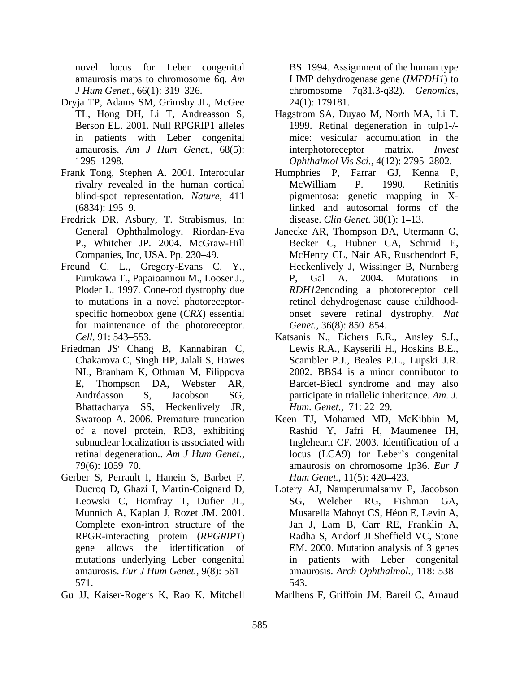- Dryja TP, Adams SM, Grimsby JL, McGee
- Frank Tong, Stephen A. 2001. Interocular
- Fredrick DR, Asbury, T. Strabismus, In:
- Freund C. L., Gregory-Evans C. Y., for maintenance of the photoreceptor. Genet., 36(8): 850–854.
- Friedman JS<sup>,</sup> Chang B, Kannabiran C, NL, Branham K, Othman M, Filippova E, Thompson DA, Webster AR, Bardet-Biedl syndrome and may also<br>Andréasson S, Jacobson SG, participate in triallelic inheritance. Am. J.<br>Bhattacharya SS, Heckenlively JR, Hum. Genet., 71: 22–29.<br>Swaroop A. 2006. Premature t
- Gerber S, Perrault I, Hanein S, Barbet F, mutations underlying Leber congenital
- 

novel locus for Leber congenital BS. 1994. Assignment of the human type amaurosis maps to chromosome 6q. *Am*  I IMP dehydrogenase gene (*IMPDH1*) to *J Hum Genet.,* 66(1): 319 326. chromosome 7q31.3-q32). *Genomics,* 24(1): 179181.

- TL, Hong DH, Li T, Andreasson S, Hagstrom SA, Duyao M, North MA, Li T. Berson EL. 2001. Null RPGRIP1 alleles 1999. Retinal degeneration in tulp1-/ in patients with Leber congenital mice: vesicular accumulation in the amaurosis. *Am J Hum Genet.,* 68(5): 1295 1298. *Ophthalmol Vis Sci.,* 4(12): 2795 2802. interphotoreceptor
- rivalry revealed in the human cortical blind-spot representation. *Nature,* 411 pigmentosa: genetic mapping in X-(6834): 195 9. linked and autosomal forms of the Humphries P, Farrar GJ, Kenna P, McWilliam P. 1990. Retinitis disease. *Clin Genet.* 38(1): 1–13.
- General Ophthalmology, Riordan-Eva Janecke AR, Thompson DA, Utermann G, P., Whitcher JP. 2004. McGraw-Hill Becker C, Hubner CA, Schmid E, Companies, Inc, USA. Pp. 230–49. McHenry CL, Nair AR, Ruschendorf F, Furukawa T., Papaioannou M., Looser J., Ploder L. 1997. Cone-rod dystrophy due *RDH12*encoding a photoreceptor cell to mutations in a novel photoreceptor- retinol dehydrogenase cause childhood specific homeobox gene (*CRX*) essential onset severe retinal dystrophy. *Nat*  Heckenlively J, Wissinger B, Nurnberg P, Gal A. 2004. Mutations in *Genet.,* 36(8): 850–854.
- *Cell,* 91: 543 553. Katsanis N., Eichers E.R., Ansley S.J., edman JS' Chang B, Kannabiran C, Lewis R.A., Kayserili H., Hoskins B.E.,<br>Chakarova C, Singh HP, Jalali S, Hawes Scambler P.J., Beales P.L., Lupski J.R. Lewis R.A., Kayserili H., Hoskins B.E., Scambler P.J., Beales P.L., Lupski J.R. 2002. BBS4 is a minor contributor to Bardet-Biedl syndrome and may also participate in triallelic inheritance. *Am. J. Hum. Genet., 71: 22–29.*
- of a novel protein, RD3, exhibiting Rashid Y, Jafri H, Maumenee IH, subnuclear localization is associated with Inglehearn CF. 2003. Identification of a retinal degeneration.. *Am J Hum Genet.*, locus (LCA9) for Leber's congenital 79(6): 1059 70. amaurosis on chromosome 1p36. *Eur J* Keen TJ, Mohamed MD, McKibbin M, *Hum Genet.,* 11(5): 420–423.
- Ducroq D, Ghazi I, Martin-Coignard D, Lotery AJ, Namperumalsamy P, Jacobson Leowski C, Homfray T, Dufier JL, SG, Weleber RG, Fishman GA, Munnich A, Kaplan J, Rozet JM. 2001. Musarella Mahoyt CS, Héon E, Levin A, Complete exon-intron structure of the Jan J, Lam B, Carr RE, Franklin A, RPGR-interacting protein (*RPGRIP1*) Radha S, Andorf JLSheffield VC, Stone gene allows the identification of EM. 2000. Mutation analysis of 3 genes amaurosis. *Eur J Hum Genet.,* 9(8): 561 amaurosis. *Arch Ophthalmol.,* 118: 538 571. SG, Weleber RG, Fishman patients with Leber congenital 543.
- Gu JJ, Kaiser-Rogers K, Rao K, Mitchell Marlhens F, Griffoin JM, Bareil C, Arnaud